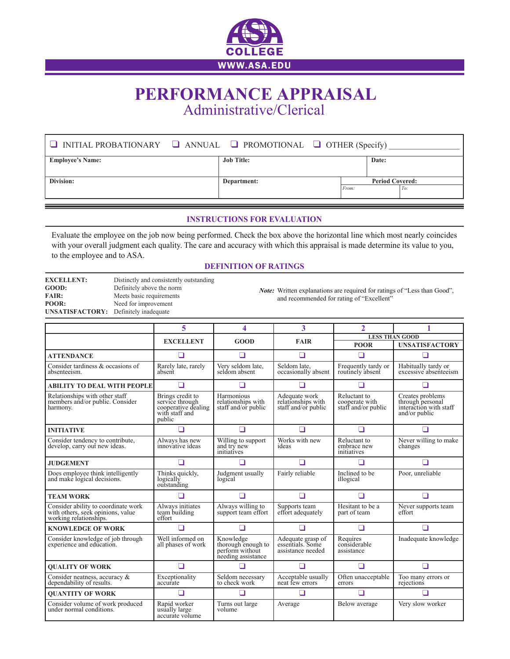

## **PERFORMANCE APPRAISAL** Administrative/Clerical

| $\Box$ INITIAL PROBATIONARY $\Box$ ANNUAL $\Box$ PROMOTIONAL $\Box$ OTHER (Specify) |                   |                        |       |     |
|-------------------------------------------------------------------------------------|-------------------|------------------------|-------|-----|
| <b>Employee's Name:</b>                                                             | <b>Job Title:</b> |                        | Date: |     |
|                                                                                     |                   |                        |       |     |
| Division:                                                                           | Department:       | <b>Period Covered:</b> |       |     |
|                                                                                     |                   | From:                  |       | To: |
|                                                                                     |                   |                        |       |     |

## **INSTRUCTIONS FOR EVALUATION**

Evaluate the employee on the job now being performed. Check the box above the horizontal line which most nearly coincides with your overall judgment each quality. The care and accuracy with which this appraisal is made determine its value to you, to the employee and to ASA.

## **DEFINITION OF RATINGS**

| <b>EXCELLENT:</b>                            | Distinctly and consistently outstanding |
|----------------------------------------------|-----------------------------------------|
| GOOD:                                        | Definitely above the norm               |
| <b>FAIR:</b>                                 | Meets basic requirements                |
| POOR:                                        | Need for improvement                    |
| <b>UNSATISFACTORY:</b> Definitely inadequate |                                         |

*Note:* Written explanations are required for ratings of "Less than Good", and recommended for rating of "Excellent"

|                                                                                                    | 5                                                                                      | 4                                                                        | 3                                                          | $\overline{2}$                                        |                                                                                 |  |
|----------------------------------------------------------------------------------------------------|----------------------------------------------------------------------------------------|--------------------------------------------------------------------------|------------------------------------------------------------|-------------------------------------------------------|---------------------------------------------------------------------------------|--|
|                                                                                                    |                                                                                        |                                                                          |                                                            |                                                       | <b>LESS THAN GOOD</b>                                                           |  |
|                                                                                                    | <b>EXCELLENT</b>                                                                       | GOOD                                                                     | <b>FAIR</b>                                                | <b>POOR</b>                                           | <b>UNSATISFACTORY</b>                                                           |  |
| <b>ATTENDANCE</b>                                                                                  | ◻                                                                                      | □                                                                        | □                                                          | □                                                     | □                                                                               |  |
| Consider tardiness & occasions of<br>absenteeism.                                                  | Rarely late, rarely<br>absent                                                          | Very seldom late,<br>seldom absent                                       | Seldom late,<br>occasionally absent                        | Frequently tardy or<br>routinely absent               | Habitually tardy or<br>excessive absenteeism                                    |  |
| <b>ABILITY TO DEAL WITH PEOPLE</b>                                                                 | n                                                                                      |                                                                          | П                                                          | ┓                                                     | H                                                                               |  |
| Relationships with other staff<br>members and/or public. Consider<br>harmony.                      | Brings credit to<br>service through<br>cooperative dealing<br>with staff and<br>public | Harmonious<br>relationships with<br>staff and/or public                  | Adequate work<br>relationships with<br>staff and/or public | Reluctant to<br>cooperate with<br>staff and/or public | Creates problems<br>through personal<br>interaction with staff<br>and/or public |  |
| <b>INITIATIVE</b>                                                                                  |                                                                                        | ∩                                                                        | □                                                          | П                                                     | П                                                                               |  |
| Consider tendency to contribute,<br>develop, carry out new ideas.                                  | Always has new<br>innovative ideas                                                     | Willing to support<br>and try new<br>initiatives                         | Works with new<br>ideas                                    | Reluctant to<br>embrace new<br>initiatives            | Never willing to make<br>changes                                                |  |
| <b>JUDGEMENT</b>                                                                                   | П                                                                                      | □                                                                        | □                                                          | ┓                                                     | П                                                                               |  |
| Does employee think intelligently<br>and make logical decisions.                                   | Thinks quickly.<br>logically<br>outstanding                                            | Judgment usually<br>logical                                              | Fairly reliable                                            | Inclined to be<br>illogical                           | Poor, unreliable                                                                |  |
| <b>TEAM WORK</b>                                                                                   |                                                                                        | ∩                                                                        | $\Box$                                                     | ◻                                                     | □                                                                               |  |
| Consider ability to coordinate work<br>with others, seek opinions, value<br>working relationships. | Always initiates<br>team building<br>effort                                            | Always willing to<br>support team effort                                 | Supports team<br>effort adequately                         | Hesitant to be a<br>part of team                      | Never supports team<br>effort                                                   |  |
| <b>KNOWLEDGE OF WORK</b>                                                                           |                                                                                        |                                                                          |                                                            | П                                                     | П                                                                               |  |
| Consider knowledge of job through<br>experience and education.                                     | Well informed on<br>all phases of work                                                 | Knowledge<br>thorough enough to<br>perform without<br>needing assistance | Adequate grasp of<br>essentials. Some<br>assistance needed | Requires<br>considerable<br>assistance                | Inadequate knowledge                                                            |  |
| <b>OUALITY OF WORK</b>                                                                             | n                                                                                      |                                                                          | П                                                          | ┓                                                     | П                                                                               |  |
| Consider neatness, accuracy &<br>dependability of results.                                         | Exceptionality<br>accurate                                                             | Seldom necessary<br>to check work                                        | Acceptable usually<br>neat few errors                      | Often unacceptable<br>errors                          | Too many errors or<br>rejections                                                |  |
| <b>OUANTITY OF WORK</b>                                                                            | n                                                                                      |                                                                          | П                                                          |                                                       |                                                                                 |  |
| Consider volume of work produced<br>under normal conditions.                                       | Rapid worker<br>usually large<br>accurate volume                                       | Turns out large<br>volume                                                | Average                                                    | Below average                                         | Very slow worker                                                                |  |